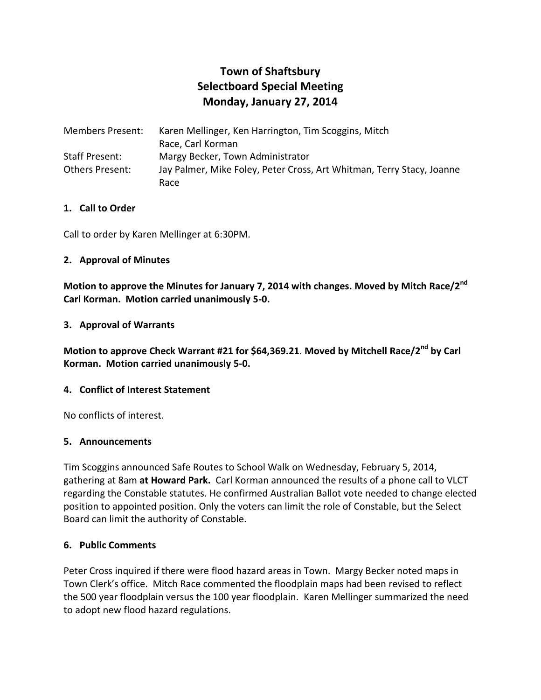# **Town of Shaftsbury Selectboard Special Meeting Monday, January 27, 2014**

| Members Present: | Karen Mellinger, Ken Harrington, Tim Scoggins, Mitch                  |
|------------------|-----------------------------------------------------------------------|
|                  | Race, Carl Korman                                                     |
| Staff Present:   | Margy Becker, Town Administrator                                      |
| Others Present:  | Jay Palmer, Mike Foley, Peter Cross, Art Whitman, Terry Stacy, Joanne |
|                  | Race                                                                  |

#### **1. Call to Order**

Call to order by Karen Mellinger at 6:30PM.

#### **2. Approval of Minutes**

**Motion to approve the Minutes for January 7, 2014 with changes. Moved by Mitch Race/2nd Carl Korman. Motion carried unanimously 5-0.**

#### **3. Approval of Warrants**

**Motion to approve Check Warrant #21 for \$64,369.21**. **Moved by Mitchell Race/2nd by Carl Korman. Motion carried unanimously 5-0.**

# **4. Conflict of Interest Statement**

No conflicts of interest.

#### **5. Announcements**

Tim Scoggins announced Safe Routes to School Walk on Wednesday, February 5, 2014, gathering at 8am **at Howard Park.** Carl Korman announced the results of a phone call to VLCT regarding the Constable statutes. He confirmed Australian Ballot vote needed to change elected position to appointed position. Only the voters can limit the role of Constable, but the Select Board can limit the authority of Constable.

# **6. Public Comments**

Peter Cross inquired if there were flood hazard areas in Town. Margy Becker noted maps in Town Clerk's office. Mitch Race commented the floodplain maps had been revised to reflect the 500 year floodplain versus the 100 year floodplain. Karen Mellinger summarized the need to adopt new flood hazard regulations.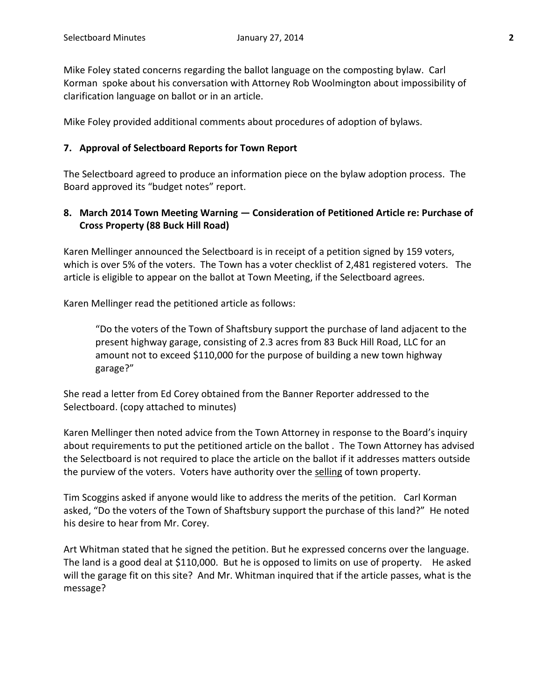Mike Foley stated concerns regarding the ballot language on the composting bylaw. Carl Korman spoke about his conversation with Attorney Rob Woolmington about impossibility of clarification language on ballot or in an article.

Mike Foley provided additional comments about procedures of adoption of bylaws.

#### **7. Approval of Selectboard Reports for Town Report**

The Selectboard agreed to produce an information piece on the bylaw adoption process. The Board approved its "budget notes" report.

# **8. March 2014 Town Meeting Warning — Consideration of Petitioned Article re: Purchase of Cross Property (88 Buck Hill Road)**

Karen Mellinger announced the Selectboard is in receipt of a petition signed by 159 voters, which is over 5% of the voters. The Town has a voter checklist of 2,481 registered voters. The article is eligible to appear on the ballot at Town Meeting, if the Selectboard agrees.

Karen Mellinger read the petitioned article as follows:

"Do the voters of the Town of Shaftsbury support the purchase of land adjacent to the present highway garage, consisting of 2.3 acres from 83 Buck Hill Road, LLC for an amount not to exceed \$110,000 for the purpose of building a new town highway garage?"

She read a letter from Ed Corey obtained from the Banner Reporter addressed to the Selectboard. (copy attached to minutes)

Karen Mellinger then noted advice from the Town Attorney in response to the Board's inquiry about requirements to put the petitioned article on the ballot . The Town Attorney has advised the Selectboard is not required to place the article on the ballot if it addresses matters outside the purview of the voters. Voters have authority over the selling of town property.

Tim Scoggins asked if anyone would like to address the merits of the petition. Carl Korman asked, "Do the voters of the Town of Shaftsbury support the purchase of this land?" He noted his desire to hear from Mr. Corey.

Art Whitman stated that he signed the petition. But he expressed concerns over the language. The land is a good deal at \$110,000. But he is opposed to limits on use of property. He asked will the garage fit on this site? And Mr. Whitman inquired that if the article passes, what is the message?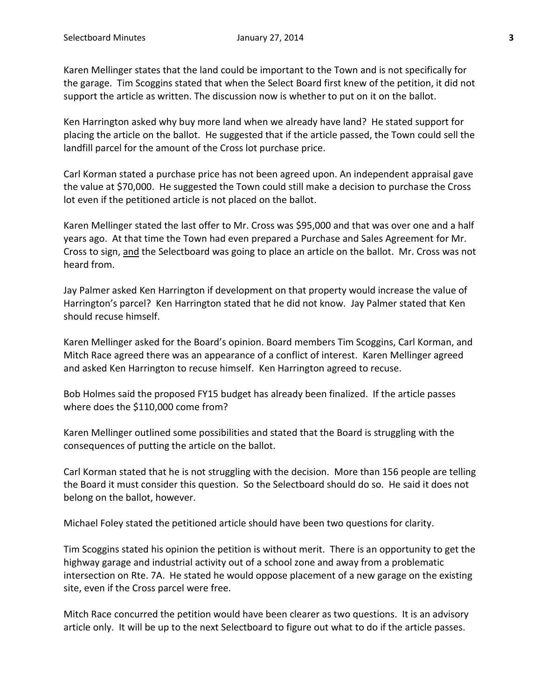Karen Mellinger states that the land could be important to the Town and is not specifically for the garage. Tim Scoggins stated that when the Select Board first knew of the petition, it did not support the article as written. The discussion now is whether to put on it on the ballot.

Ken Harrington asked why buy more land when we already have land? He stated support for placing the article on the ballot. He suggested that if the article passed, the Town could sell the landfill parcel for the amount of the Cross lot purchase price.

Carl Korman stated a purchase price has not been agreed upon. An independent appraisal gave the value at \$70,000. He suggested the Town could still make a decision to purchase the Cross lot even if the petitioned article is not placed on the ballot.

Karen Mellinger stated the last offer to Mr. Cross was \$95,000 and that was over one and a half years ago. At that time the Town had even prepared a Purchase and Sales Agreement for Mr. Cross to sign, and the Selectboard was going to place an article on the ballot. Mr. Cross was not heard from.

Jay Palmer asked Ken Harrington if development on that property would increase the value of Harrington's parcel? Ken Harrington stated that he did not know. Jay Palmer stated that Ken should recuse himself.

Karen Mellinger asked for the Board's opinion. Board members Tim Scoggins, Carl Korman, and Mitch Race agreed there was an appearance of a conflict of interest. Karen Mellinger agreed and asked Ken Harrington to recuse himself. Ken Harrington agreed to recuse.

Bob Holmes said the proposed FY15 budget has already been finalized. If the article passes where does the \$110,000 come from?

Karen Mellinger outlined some possibilities and stated that the Board is struggling with the consequences of putting the article on the ballot.

Carl Korman stated that he is not struggling with the decision. More than 156 people are telling the Board it must consider this question. So the Selectboard should do so. He said it does not belong on the ballot, however.

Michael Foley stated the petitioned article should have been two questions for clarity.

Tim Scoggins stated his opinion the petition is without merit. There is an opportunity to get the highway garage and industrial activity out of a school zone and away from a problematic intersection on Rte. 7A. He stated he would oppose placement of a new garage on the existing site, even if the Cross parcel were free.

Mitch Race concurred the petition would have been clearer as two questions. It is an advisory article only. It will be up to the next Selectboard to figure out what to do if the article passes.